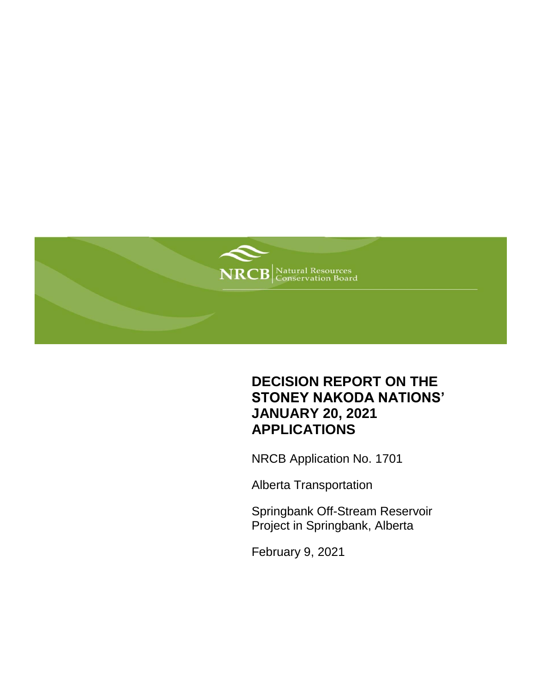

## **DECISION REPORT ON THE STONEY NAKODA NATIONS' JANUARY 20, 2021 APPLICATIONS**

NRCB Application No. 1701

Alberta Transportation

Springbank Off-Stream Reservoir Project in Springbank, Alberta

February 9, 2021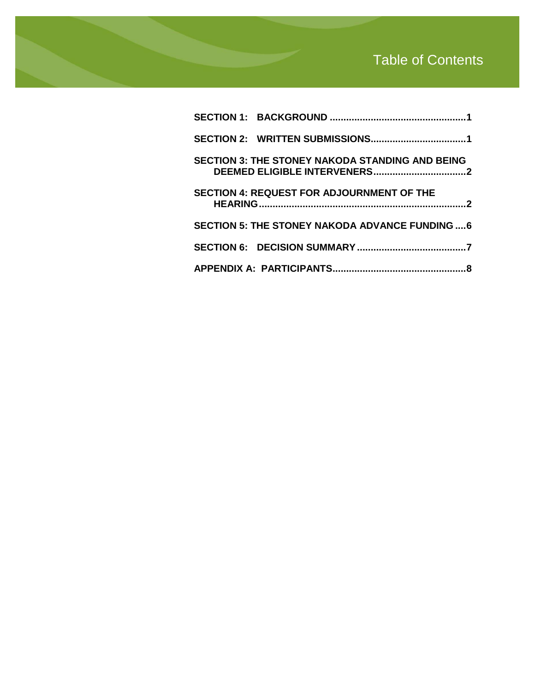# Table of Contents

| <b>SECTION 3: THE STONEY NAKODA STANDING AND BEING</b> |  |
|--------------------------------------------------------|--|
| <b>SECTION 4: REQUEST FOR ADJOURNMENT OF THE</b>       |  |
| <b>SECTION 5: THE STONEY NAKODA ADVANCE FUNDING  6</b> |  |
|                                                        |  |
|                                                        |  |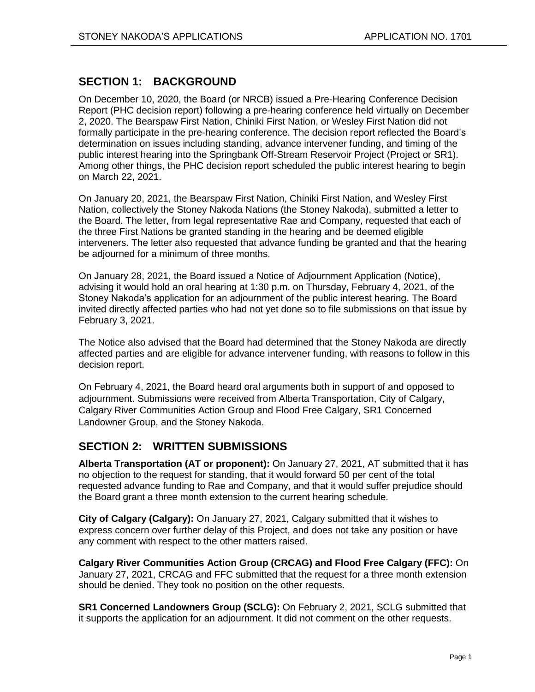## <span id="page-2-0"></span>**SECTION 1: BACKGROUND**

On December 10, 2020, the Board (or NRCB) issued a Pre-Hearing Conference Decision Report (PHC decision report) following a pre-hearing conference held virtually on December 2, 2020. The Bearspaw First Nation, Chiniki First Nation, or Wesley First Nation did not formally participate in the pre-hearing conference. The decision report reflected the Board's determination on issues including standing, advance intervener funding, and timing of the public interest hearing into the Springbank Off-Stream Reservoir Project (Project or SR1). Among other things, the PHC decision report scheduled the public interest hearing to begin on March 22, 2021.

On January 20, 2021, the Bearspaw First Nation, Chiniki First Nation, and Wesley First Nation, collectively the Stoney Nakoda Nations (the Stoney Nakoda), submitted a letter to the Board. The letter, from legal representative Rae and Company, requested that each of the three First Nations be granted standing in the hearing and be deemed eligible interveners. The letter also requested that advance funding be granted and that the hearing be adjourned for a minimum of three months.

On January 28, 2021, the Board issued a Notice of Adjournment Application (Notice), advising it would hold an oral hearing at 1:30 p.m. on Thursday, February 4, 2021, of the Stoney Nakoda's application for an adjournment of the public interest hearing. The Board invited directly affected parties who had not yet done so to file submissions on that issue by February 3, 2021.

The Notice also advised that the Board had determined that the Stoney Nakoda are directly affected parties and are eligible for advance intervener funding, with reasons to follow in this decision report.

On February 4, 2021, the Board heard oral arguments both in support of and opposed to adjournment. Submissions were received from Alberta Transportation, City of Calgary, Calgary River Communities Action Group and Flood Free Calgary, SR1 Concerned Landowner Group, and the Stoney Nakoda.

## <span id="page-2-1"></span>**SECTION 2: WRITTEN SUBMISSIONS**

**Alberta Transportation (AT or proponent):** On January 27, 2021, AT submitted that it has no objection to the request for standing, that it would forward 50 per cent of the total requested advance funding to Rae and Company, and that it would suffer prejudice should the Board grant a three month extension to the current hearing schedule.

**City of Calgary (Calgary):** On January 27, 2021, Calgary submitted that it wishes to express concern over further delay of this Project, and does not take any position or have any comment with respect to the other matters raised.

**Calgary River Communities Action Group (CRCAG) and Flood Free Calgary (FFC):** On January 27, 2021, CRCAG and FFC submitted that the request for a three month extension should be denied. They took no position on the other requests.

**SR1 Concerned Landowners Group (SCLG):** On February 2, 2021, SCLG submitted that it supports the application for an adjournment. It did not comment on the other requests.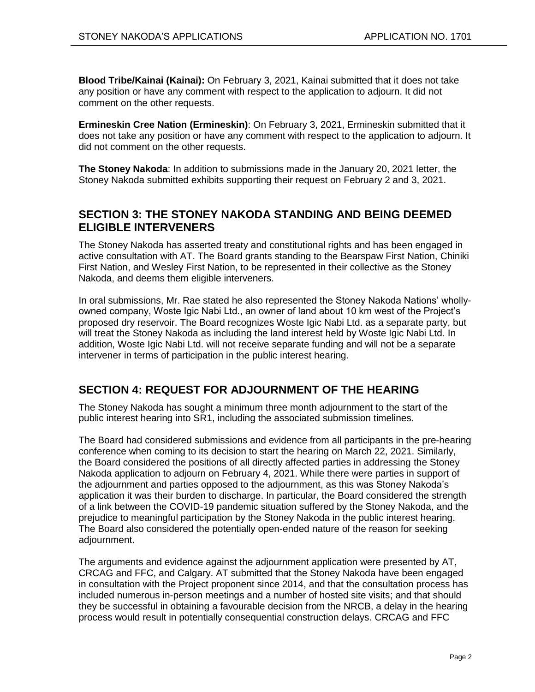**Blood Tribe/Kainai (Kainai):** On February 3, 2021, Kainai submitted that it does not take any position or have any comment with respect to the application to adjourn. It did not comment on the other requests.

**Ermineskin Cree Nation (Ermineskin)**: On February 3, 2021, Ermineskin submitted that it does not take any position or have any comment with respect to the application to adjourn. It did not comment on the other requests.

**The Stoney Nakoda**: In addition to submissions made in the January 20, 2021 letter, the Stoney Nakoda submitted exhibits supporting their request on February 2 and 3, 2021.

## <span id="page-3-0"></span>**SECTION 3: THE STONEY NAKODA STANDING AND BEING DEEMED ELIGIBLE INTERVENERS**

The Stoney Nakoda has asserted treaty and constitutional rights and has been engaged in active consultation with AT. The Board grants standing to the Bearspaw First Nation, Chiniki First Nation, and Wesley First Nation, to be represented in their collective as the Stoney Nakoda, and deems them eligible interveners.

In oral submissions, Mr. Rae stated he also represented the Stoney Nakoda Nations' whollyowned company, Woste Igic Nabi Ltd., an owner of land about 10 km west of the Project's proposed dry reservoir. The Board recognizes Woste Igic Nabi Ltd. as a separate party, but will treat the Stoney Nakoda as including the land interest held by Woste Igic Nabi Ltd. In addition, Woste Igic Nabi Ltd. will not receive separate funding and will not be a separate intervener in terms of participation in the public interest hearing.

## <span id="page-3-1"></span>**SECTION 4: REQUEST FOR ADJOURNMENT OF THE HEARING**

The Stoney Nakoda has sought a minimum three month adjournment to the start of the public interest hearing into SR1, including the associated submission timelines.

The Board had considered submissions and evidence from all participants in the pre-hearing conference when coming to its decision to start the hearing on March 22, 2021. Similarly, the Board considered the positions of all directly affected parties in addressing the Stoney Nakoda application to adjourn on February 4, 2021. While there were parties in support of the adjournment and parties opposed to the adjournment, as this was Stoney Nakoda's application it was their burden to discharge. In particular, the Board considered the strength of a link between the COVID-19 pandemic situation suffered by the Stoney Nakoda, and the prejudice to meaningful participation by the Stoney Nakoda in the public interest hearing. The Board also considered the potentially open-ended nature of the reason for seeking adjournment.

The arguments and evidence against the adjournment application were presented by AT, CRCAG and FFC, and Calgary. AT submitted that the Stoney Nakoda have been engaged in consultation with the Project proponent since 2014, and that the consultation process has included numerous in-person meetings and a number of hosted site visits; and that should they be successful in obtaining a favourable decision from the NRCB, a delay in the hearing process would result in potentially consequential construction delays. CRCAG and FFC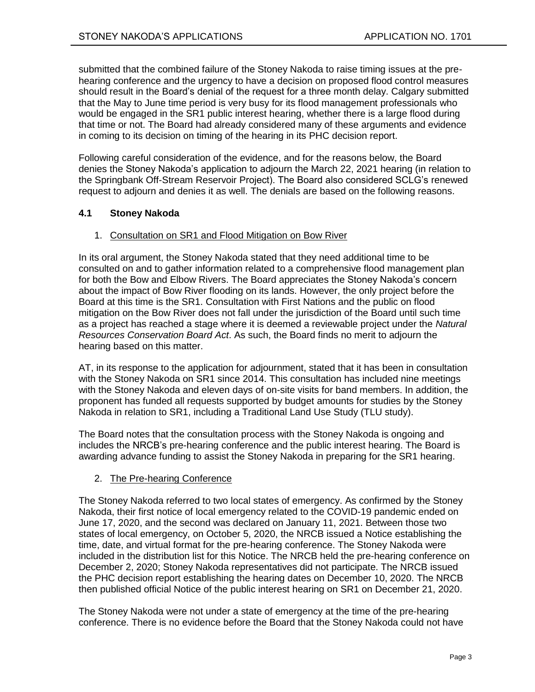submitted that the combined failure of the Stoney Nakoda to raise timing issues at the prehearing conference and the urgency to have a decision on proposed flood control measures should result in the Board's denial of the request for a three month delay. Calgary submitted that the May to June time period is very busy for its flood management professionals who would be engaged in the SR1 public interest hearing, whether there is a large flood during that time or not. The Board had already considered many of these arguments and evidence in coming to its decision on timing of the hearing in its PHC decision report.

Following careful consideration of the evidence, and for the reasons below, the Board denies the Stoney Nakoda's application to adjourn the March 22, 2021 hearing (in relation to the Springbank Off-Stream Reservoir Project). The Board also considered SCLG's renewed request to adjourn and denies it as well. The denials are based on the following reasons.

### **4.1 Stoney Nakoda**

#### 1. Consultation on SR1 and Flood Mitigation on Bow River

In its oral argument, the Stoney Nakoda stated that they need additional time to be consulted on and to gather information related to a comprehensive flood management plan for both the Bow and Elbow Rivers. The Board appreciates the Stoney Nakoda's concern about the impact of Bow River flooding on its lands. However, the only project before the Board at this time is the SR1. Consultation with First Nations and the public on flood mitigation on the Bow River does not fall under the jurisdiction of the Board until such time as a project has reached a stage where it is deemed a reviewable project under the *Natural Resources Conservation Board Act*. As such, the Board finds no merit to adjourn the hearing based on this matter.

AT, in its response to the application for adjournment, stated that it has been in consultation with the Stoney Nakoda on SR1 since 2014. This consultation has included nine meetings with the Stoney Nakoda and eleven days of on-site visits for band members. In addition, the proponent has funded all requests supported by budget amounts for studies by the Stoney Nakoda in relation to SR1, including a Traditional Land Use Study (TLU study).

The Board notes that the consultation process with the Stoney Nakoda is ongoing and includes the NRCB's pre-hearing conference and the public interest hearing. The Board is awarding advance funding to assist the Stoney Nakoda in preparing for the SR1 hearing.

### 2. The Pre-hearing Conference

The Stoney Nakoda referred to two local states of emergency. As confirmed by the Stoney Nakoda, their first notice of local emergency related to the COVID-19 pandemic ended on June 17, 2020, and the second was declared on January 11, 2021. Between those two states of local emergency, on October 5, 2020, the NRCB issued a Notice establishing the time, date, and virtual format for the pre-hearing conference. The Stoney Nakoda were included in the distribution list for this Notice. The NRCB held the pre-hearing conference on December 2, 2020; Stoney Nakoda representatives did not participate. The NRCB issued the PHC decision report establishing the hearing dates on December 10, 2020. The NRCB then published official Notice of the public interest hearing on SR1 on December 21, 2020.

The Stoney Nakoda were not under a state of emergency at the time of the pre-hearing conference. There is no evidence before the Board that the Stoney Nakoda could not have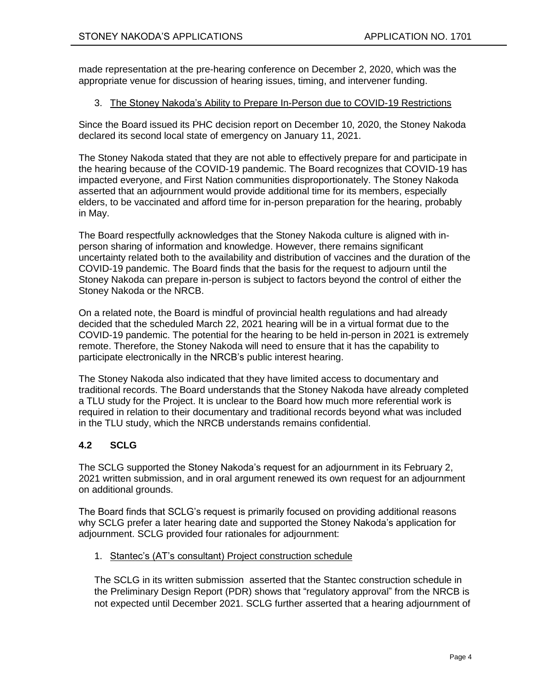made representation at the pre-hearing conference on December 2, 2020, which was the appropriate venue for discussion of hearing issues, timing, and intervener funding.

### 3. The Stoney Nakoda's Ability to Prepare In-Person due to COVID-19 Restrictions

Since the Board issued its PHC decision report on December 10, 2020, the Stoney Nakoda declared its second local state of emergency on January 11, 2021.

The Stoney Nakoda stated that they are not able to effectively prepare for and participate in the hearing because of the COVID-19 pandemic. The Board recognizes that COVID-19 has impacted everyone, and First Nation communities disproportionately. The Stoney Nakoda asserted that an adjournment would provide additional time for its members, especially elders, to be vaccinated and afford time for in-person preparation for the hearing, probably in May.

The Board respectfully acknowledges that the Stoney Nakoda culture is aligned with inperson sharing of information and knowledge. However, there remains significant uncertainty related both to the availability and distribution of vaccines and the duration of the COVID-19 pandemic. The Board finds that the basis for the request to adjourn until the Stoney Nakoda can prepare in-person is subject to factors beyond the control of either the Stoney Nakoda or the NRCB.

On a related note, the Board is mindful of provincial health regulations and had already decided that the scheduled March 22, 2021 hearing will be in a virtual format due to the COVID-19 pandemic. The potential for the hearing to be held in-person in 2021 is extremely remote. Therefore, the Stoney Nakoda will need to ensure that it has the capability to participate electronically in the NRCB's public interest hearing.

The Stoney Nakoda also indicated that they have limited access to documentary and traditional records. The Board understands that the Stoney Nakoda have already completed a TLU study for the Project. It is unclear to the Board how much more referential work is required in relation to their documentary and traditional records beyond what was included in the TLU study, which the NRCB understands remains confidential.

## **4.2 SCLG**

The SCLG supported the Stoney Nakoda's request for an adjournment in its February 2, 2021 written submission, and in oral argument renewed its own request for an adjournment on additional grounds.

The Board finds that SCLG's request is primarily focused on providing additional reasons why SCLG prefer a later hearing date and supported the Stoney Nakoda's application for adjournment. SCLG provided four rationales for adjournment:

1. Stantec's (AT's consultant) Project construction schedule

The SCLG in its written submission asserted that the Stantec construction schedule in the Preliminary Design Report (PDR) shows that "regulatory approval" from the NRCB is not expected until December 2021. SCLG further asserted that a hearing adjournment of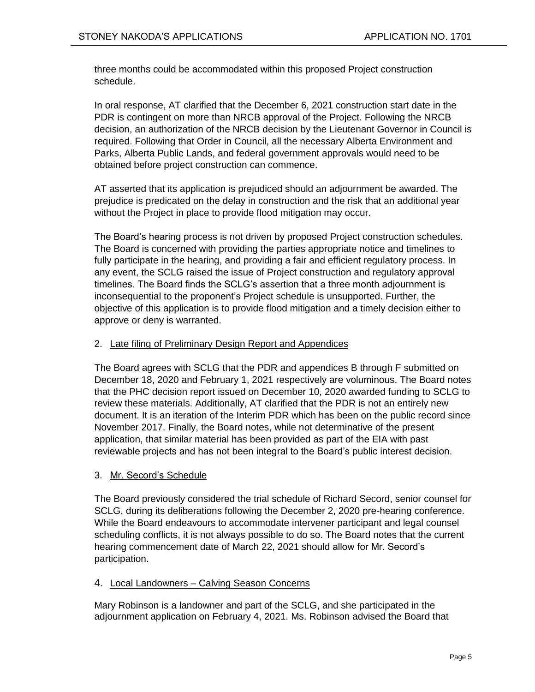three months could be accommodated within this proposed Project construction schedule.

In oral response, AT clarified that the December 6, 2021 construction start date in the PDR is contingent on more than NRCB approval of the Project. Following the NRCB decision, an authorization of the NRCB decision by the Lieutenant Governor in Council is required. Following that Order in Council, all the necessary Alberta Environment and Parks, Alberta Public Lands, and federal government approvals would need to be obtained before project construction can commence.

AT asserted that its application is prejudiced should an adjournment be awarded. The prejudice is predicated on the delay in construction and the risk that an additional year without the Project in place to provide flood mitigation may occur.

The Board's hearing process is not driven by proposed Project construction schedules. The Board is concerned with providing the parties appropriate notice and timelines to fully participate in the hearing, and providing a fair and efficient regulatory process. In any event, the SCLG raised the issue of Project construction and regulatory approval timelines. The Board finds the SCLG's assertion that a three month adjournment is inconsequential to the proponent's Project schedule is unsupported. Further, the objective of this application is to provide flood mitigation and a timely decision either to approve or deny is warranted.

### 2. Late filing of Preliminary Design Report and Appendices

The Board agrees with SCLG that the PDR and appendices B through F submitted on December 18, 2020 and February 1, 2021 respectively are voluminous. The Board notes that the PHC decision report issued on December 10, 2020 awarded funding to SCLG to review these materials. Additionally, AT clarified that the PDR is not an entirely new document. It is an iteration of the Interim PDR which has been on the public record since November 2017. Finally, the Board notes, while not determinative of the present application, that similar material has been provided as part of the EIA with past reviewable projects and has not been integral to the Board's public interest decision.

### 3. Mr. Secord's Schedule

The Board previously considered the trial schedule of Richard Secord, senior counsel for SCLG, during its deliberations following the December 2, 2020 pre-hearing conference. While the Board endeavours to accommodate intervener participant and legal counsel scheduling conflicts, it is not always possible to do so. The Board notes that the current hearing commencement date of March 22, 2021 should allow for Mr. Secord's participation.

### 4. Local Landowners – Calving Season Concerns

Mary Robinson is a landowner and part of the SCLG, and she participated in the adjournment application on February 4, 2021. Ms. Robinson advised the Board that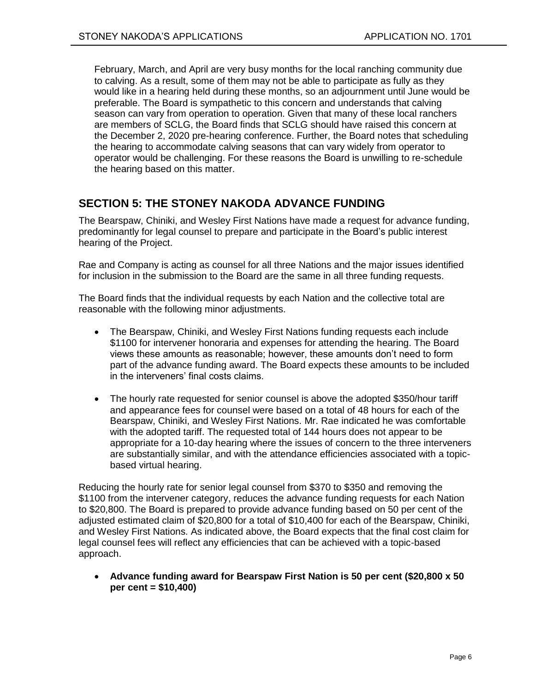February, March, and April are very busy months for the local ranching community due to calving. As a result, some of them may not be able to participate as fully as they would like in a hearing held during these months, so an adjournment until June would be preferable. The Board is sympathetic to this concern and understands that calving season can vary from operation to operation. Given that many of these local ranchers are members of SCLG, the Board finds that SCLG should have raised this concern at the December 2, 2020 pre-hearing conference. Further, the Board notes that scheduling the hearing to accommodate calving seasons that can vary widely from operator to operator would be challenging. For these reasons the Board is unwilling to re-schedule the hearing based on this matter.

## <span id="page-7-0"></span>**SECTION 5: THE STONEY NAKODA ADVANCE FUNDING**

The Bearspaw, Chiniki, and Wesley First Nations have made a request for advance funding, predominantly for legal counsel to prepare and participate in the Board's public interest hearing of the Project.

Rae and Company is acting as counsel for all three Nations and the major issues identified for inclusion in the submission to the Board are the same in all three funding requests.

The Board finds that the individual requests by each Nation and the collective total are reasonable with the following minor adjustments.

- The Bearspaw, Chiniki, and Wesley First Nations funding requests each include \$1100 for intervener honoraria and expenses for attending the hearing. The Board views these amounts as reasonable; however, these amounts don't need to form part of the advance funding award. The Board expects these amounts to be included in the interveners' final costs claims.
- The hourly rate requested for senior counsel is above the adopted \$350/hour tariff and appearance fees for counsel were based on a total of 48 hours for each of the Bearspaw, Chiniki, and Wesley First Nations. Mr. Rae indicated he was comfortable with the adopted tariff. The requested total of 144 hours does not appear to be appropriate for a 10-day hearing where the issues of concern to the three interveners are substantially similar, and with the attendance efficiencies associated with a topicbased virtual hearing.

Reducing the hourly rate for senior legal counsel from \$370 to \$350 and removing the \$1100 from the intervener category, reduces the advance funding requests for each Nation to \$20,800. The Board is prepared to provide advance funding based on 50 per cent of the adjusted estimated claim of \$20,800 for a total of \$10,400 for each of the Bearspaw, Chiniki, and Wesley First Nations. As indicated above, the Board expects that the final cost claim for legal counsel fees will reflect any efficiencies that can be achieved with a topic-based approach.

 **Advance funding award for Bearspaw First Nation is 50 per cent (\$20,800 x 50 per cent = \$10,400)**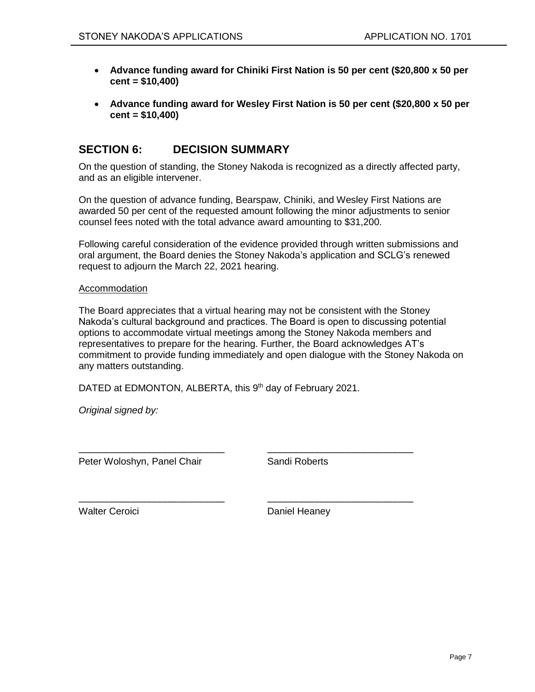- **Advance funding award for Chiniki First Nation is 50 per cent (\$20,800 x 50 per cent = \$10,400)**
- **Advance funding award for Wesley First Nation is 50 per cent (\$20,800 x 50 per cent = \$10,400)**

## <span id="page-8-0"></span>**SECTION 6: DECISION SUMMARY**

On the question of standing, the Stoney Nakoda is recognized as a directly affected party, and as an eligible intervener.

On the question of advance funding, Bearspaw, Chiniki, and Wesley First Nations are awarded 50 per cent of the requested amount following the minor adjustments to senior counsel fees noted with the total advance award amounting to \$31,200.

Following careful consideration of the evidence provided through written submissions and oral argument, the Board denies the Stoney Nakoda's application and SCLG's renewed request to adjourn the March 22, 2021 hearing.

#### Accommodation

The Board appreciates that a virtual hearing may not be consistent with the Stoney Nakoda's cultural background and practices. The Board is open to discussing potential options to accommodate virtual meetings among the Stoney Nakoda members and representatives to prepare for the hearing. Further, the Board acknowledges AT's commitment to provide funding immediately and open dialogue with the Stoney Nakoda on any matters outstanding.

DATED at EDMONTON, ALBERTA, this 9<sup>th</sup> day of February 2021.

\_\_\_\_\_\_\_\_\_\_\_\_\_\_\_\_\_\_\_\_\_\_\_\_\_\_\_\_ \_\_\_\_\_\_\_\_\_\_\_\_\_\_\_\_\_\_\_\_\_\_\_\_\_\_\_\_

\_\_\_\_\_\_\_\_\_\_\_\_\_\_\_\_\_\_\_\_\_\_\_\_\_\_\_\_ \_\_\_\_\_\_\_\_\_\_\_\_\_\_\_\_\_\_\_\_\_\_\_\_\_\_\_\_

*Original signed by:*

Peter Woloshyn, Panel Chair **Sandi Roberts** 

Walter Ceroici **Daniel Heaney**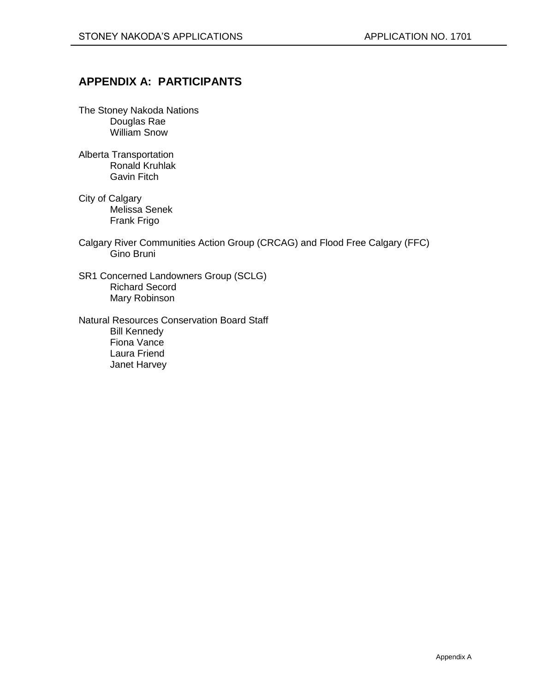## <span id="page-9-0"></span>**APPENDIX A: PARTICIPANTS**

- The Stoney Nakoda Nations Douglas Rae William Snow
- Alberta Transportation Ronald Kruhlak Gavin Fitch
- City of Calgary Melissa Senek Frank Frigo
- Calgary River Communities Action Group (CRCAG) and Flood Free Calgary (FFC) Gino Bruni
- SR1 Concerned Landowners Group (SCLG) Richard Secord Mary Robinson
- Natural Resources Conservation Board Staff Bill Kennedy Fiona Vance Laura Friend Janet Harvey